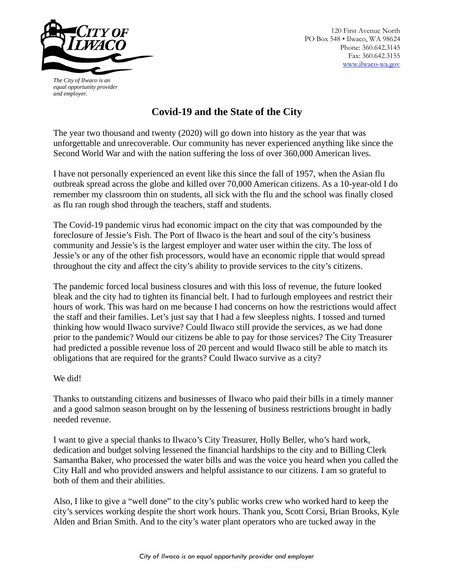

120 First Avenue North PO Box 548 • Ilwaco, WA 98624 Phone: 360.642.3145 Fax: 360.642.3155 [www.ilwaco-wa.gov](http://www.ilwaco-wa.gov/)

*The City of Ilwaco is an equal opportunity provider and employer.*

## **Covid-19 and the State of the City**

The year two thousand and twenty (2020) will go down into history as the year that was unforgettable and unrecoverable. Our community has never experienced anything like since the Second World War and with the nation suffering the loss of over 360,000 American lives.

I have not personally experienced an event like this since the fall of 1957, when the Asian flu outbreak spread across the globe and killed over 70,000 American citizens. As a 10-year-old I do remember my classroom thin on students, all sick with the flu and the school was finally closed as flu ran rough shod through the teachers, staff and students.

The Covid-19 pandemic virus had economic impact on the city that was compounded by the foreclosure of Jessie's Fish. The Port of Ilwaco is the heart and soul of the city's business community and Jessie's is the largest employer and water user within the city. The loss of Jessie's or any of the other fish processors, would have an economic ripple that would spread throughout the city and affect the city's ability to provide services to the city's citizens.

The pandemic forced local business closures and with this loss of revenue, the future looked bleak and the city had to tighten its financial belt. I had to furlough employees and restrict their hours of work. This was hard on me because I had concerns on how the restrictions would affect the staff and their families. Let's just say that I had a few sleepless nights. I tossed and turned thinking how would Ilwaco survive? Could Ilwaco still provide the services, as we had done prior to the pandemic? Would our citizens be able to pay for those services? The City Treasurer had predicted a possible revenue loss of 20 percent and would Ilwaco still be able to match its obligations that are required for the grants? Could Ilwaco survive as a city?

## We did!

Thanks to outstanding citizens and businesses of Ilwaco who paid their bills in a timely manner and a good salmon season brought on by the lessening of business restrictions brought in badly needed revenue.

I want to give a special thanks to Ilwaco's City Treasurer, Holly Beller, who's hard work, dedication and budget solving lessened the financial hardships to the city and to Billing Clerk Samantha Baker, who processed the water bills and was the voice you heard when you called the City Hall and who provided answers and helpful assistance to our citizens. I am so grateful to both of them and their abilities.

Also, I like to give a "well done" to the city's public works crew who worked hard to keep the city's services working despite the short work hours. Thank you, Scott Corsi, Brian Brooks, Kyle Alden and Brian Smith. And to the city's water plant operators who are tucked away in the